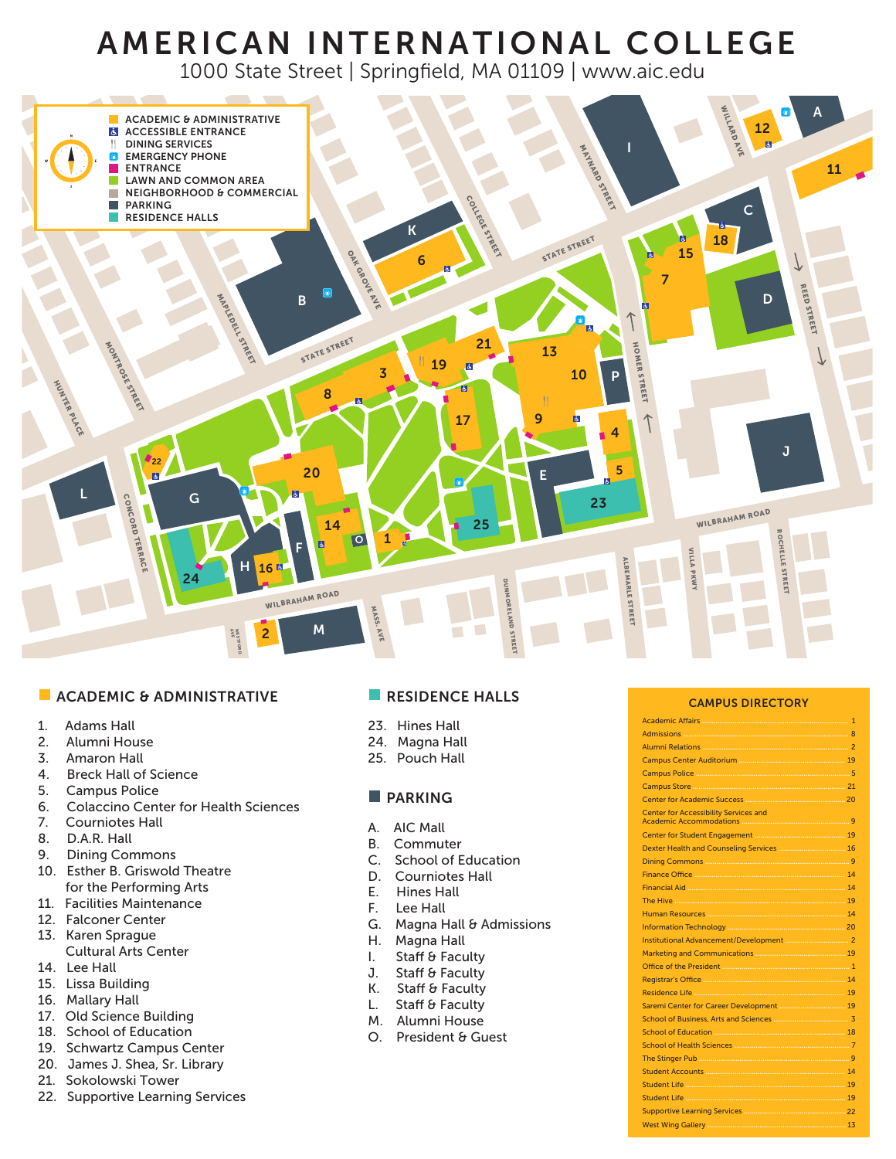# AMERICAN INTERNATIONAL COLLEGE

1000 State Street | Springfield, MA 01109 | www.aic.edu



#### **ACADEMIC & ADMINISTRATIVE**

- 1. Adams Hall
- 2. Alumni House
- 3. Amaron Hall
- 4. Breck Hall of Science
- 5. Campus Police
- 6. Colaccino Center for Health Sciences
- 7. Courniotes Hall
- 8. D.A.R. Hall
- 9. Dining Commons
- 10. Esther B. Griswold Theatre for the Performing Arts
- 11. Facilities Maintenance
- 12. Falconer Center
- 13. Karen Sprague Cultural Arts Center
- 14. Lee Hall
- 15. Lissa Building
- 16. Mallary Hall
- 17. Old Science Building
- 18. School of Education
- 19. Schwartz Campus Center
- 20. James J. Shea, Sr. Library
- 21. Sokolowski Tower
- 22. Supportive Learning Services

# **RESIDENCE HALLS**

- 23. Hines Hall
- 24. Magna Hall
- 25. Pouch Hall

# **PARKING**

- A. AIC Mall
- B. Commuter
- C. School of Education
- D. Courniotes Hall
- E. Hines Hall
- F. Lee Hall
- G. Magna Hall & Admissions
- H. Magna Hall
- I. Staff & Faculty
- J. Staff & Faculty
- K. Staff & Faculty
- L. Staff & Faculty
- M. Alumni House
- O. President & Guest

#### CAMPUS DIRECTORY

| $\mathbf{1}$                                                                                                                                                                                                                         |
|--------------------------------------------------------------------------------------------------------------------------------------------------------------------------------------------------------------------------------------|
|                                                                                                                                                                                                                                      |
|                                                                                                                                                                                                                                      |
|                                                                                                                                                                                                                                      |
|                                                                                                                                                                                                                                      |
|                                                                                                                                                                                                                                      |
| Center for Academic Success <b>Manufacture 20</b>                                                                                                                                                                                    |
| <b>Center for Accessibility Services and</b>                                                                                                                                                                                         |
|                                                                                                                                                                                                                                      |
|                                                                                                                                                                                                                                      |
|                                                                                                                                                                                                                                      |
|                                                                                                                                                                                                                                      |
|                                                                                                                                                                                                                                      |
|                                                                                                                                                                                                                                      |
|                                                                                                                                                                                                                                      |
|                                                                                                                                                                                                                                      |
|                                                                                                                                                                                                                                      |
|                                                                                                                                                                                                                                      |
|                                                                                                                                                                                                                                      |
|                                                                                                                                                                                                                                      |
|                                                                                                                                                                                                                                      |
|                                                                                                                                                                                                                                      |
|                                                                                                                                                                                                                                      |
|                                                                                                                                                                                                                                      |
|                                                                                                                                                                                                                                      |
|                                                                                                                                                                                                                                      |
|                                                                                                                                                                                                                                      |
| Student Life <b>Manual Accord Contract Contract Contract Contract Contract Contract Contract Contract Contract Contract Contract Contract Contract Contract Contract Contract Contract Contract Contract Contract Contract Contr</b> |
|                                                                                                                                                                                                                                      |
|                                                                                                                                                                                                                                      |
|                                                                                                                                                                                                                                      |